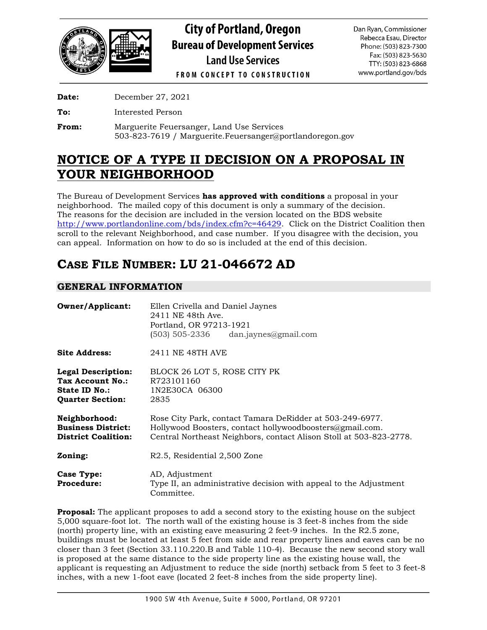

**City of Portland, Oregon Bureau of Development Services Land Use Services** 

Dan Ryan, Commissioner Rebecca Esau, Director Phone: (503) 823-7300 Fax: (503) 823-5630 TTY: (503) 823-6868 www.portland.gov/bds

**FROM CONCEPT TO CONSTRUCTION** 

**Date:** December 27, 2021

**To:** Interested Person

**From:** Marguerite Feuersanger, Land Use Services 503-823-7619 / Marguerite.Feuersanger@portlandoregon.gov

# **NOTICE OF A TYPE II DECISION ON A PROPOSAL IN YOUR NEIGHBORHOOD**

The Bureau of Development Services **has approved with conditions** a proposal in your neighborhood. The mailed copy of this document is only a summary of the decision. The reasons for the decision are included in the version located on the BDS website [http://www.portlandonline.com/bds/index.cfm?c=46429.](http://www.portlandonline.com/bds/index.cfm?c=46429) Click on the District Coalition then scroll to the relevant Neighborhood, and case number. If you disagree with the decision, you can appeal. Information on how to do so is included at the end of this decision.

# **CASE FILE NUMBER: LU 21-046672 AD**

# **GENERAL INFORMATION**

| <b>Owner/Applicant:</b>                                                                   | Ellen Crivella and Daniel Jaynes<br>2411 NE 48th Ave.<br>Portland, OR 97213-1921<br>$(503)$ 505-2336 dan.jaynes@gmail.com                                                                  |  |  |
|-------------------------------------------------------------------------------------------|--------------------------------------------------------------------------------------------------------------------------------------------------------------------------------------------|--|--|
| <b>Site Address:</b>                                                                      | 2411 NE 48TH AVE                                                                                                                                                                           |  |  |
| <b>Legal Description:</b><br>Tax Account No.:<br>State ID No.:<br><b>Quarter Section:</b> | BLOCK 26 LOT 5, ROSE CITY PK<br>R723101160<br>1N2E30CA 06300<br>2835                                                                                                                       |  |  |
| Neighborhood:<br><b>Business District:</b><br><b>District Coalition:</b>                  | Rose City Park, contact Tamara DeRidder at 503-249-6977.<br>Hollywood Boosters, contact hollywoodboosters@gmail.com.<br>Central Northeast Neighbors, contact Alison Stoll at 503-823-2778. |  |  |
| Zoning:                                                                                   | R2.5, Residential 2,500 Zone                                                                                                                                                               |  |  |
| Case Type:<br><b>Procedure:</b>                                                           | AD, Adjustment<br>Type II, an administrative decision with appeal to the Adjustment<br>Committee.                                                                                          |  |  |

**Proposal:** The applicant proposes to add a second story to the existing house on the subject 5,000 square-foot lot. The north wall of the existing house is 3 feet-8 inches from the side (north) property line, with an existing eave measuring 2 feet-9 inches. In the R2.5 zone, buildings must be located at least 5 feet from side and rear property lines and eaves can be no closer than 3 feet (Section 33.110.220.B and Table 110-4). Because the new second story wall is proposed at the same distance to the side property line as the existing house wall, the applicant is requesting an Adjustment to reduce the side (north) setback from 5 feet to 3 feet-8 inches, with a new 1-foot eave (located 2 feet-8 inches from the side property line).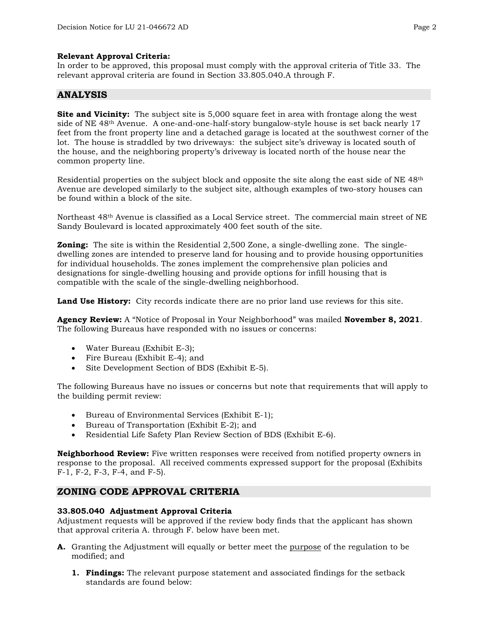In order to be approved, this proposal must comply with the approval criteria of Title 33. The relevant approval criteria are found in Section 33.805.040.A through F.

## **ANALYSIS**

**Site and Vicinity:** The subject site is 5,000 square feet in area with frontage along the west side of NE 48th Avenue. A one-and-one-half-story bungalow-style house is set back nearly 17 feet from the front property line and a detached garage is located at the southwest corner of the lot. The house is straddled by two driveways: the subject site's driveway is located south of the house, and the neighboring property's driveway is located north of the house near the common property line.

Residential properties on the subject block and opposite the site along the east side of NE 48th Avenue are developed similarly to the subject site, although examples of two-story houses can be found within a block of the site.

Northeast 48th Avenue is classified as a Local Service street. The commercial main street of NE Sandy Boulevard is located approximately 400 feet south of the site.

**Zoning:** The site is within the Residential 2,500 Zone, a single-dwelling zone. The singledwelling zones are intended to preserve land for housing and to provide housing opportunities for individual households. The zones implement the comprehensive plan policies and designations for single-dwelling housing and provide options for infill housing that is compatible with the scale of the single-dwelling neighborhood.

**Land Use History:** City records indicate there are no prior land use reviews for this site.

**Agency Review:** A "Notice of Proposal in Your Neighborhood" was mailed **November 8, 2021**. The following Bureaus have responded with no issues or concerns:

- Water Bureau (Exhibit E-3);
- Fire Bureau (Exhibit E-4); and
- Site Development Section of BDS (Exhibit E-5).

The following Bureaus have no issues or concerns but note that requirements that will apply to the building permit review:

- Bureau of Environmental Services (Exhibit E-1);
- Bureau of Transportation (Exhibit E-2); and
- Residential Life Safety Plan Review Section of BDS (Exhibit E-6).

**Neighborhood Review:** Five written responses were received from notified property owners in response to the proposal. All received comments expressed support for the proposal (Exhibits F-1, F-2, F-3, F-4, and F-5).

## **ZONING CODE APPROVAL CRITERIA**

#### **33.805.040 Adjustment Approval Criteria**

Adjustment requests will be approved if the review body finds that the applicant has shown that approval criteria A. through F. below have been met.

- **A.** Granting the Adjustment will equally or better meet the purpose of the regulation to be modified; and
	- **1. Findings:** The relevant purpose statement and associated findings for the setback standards are found below: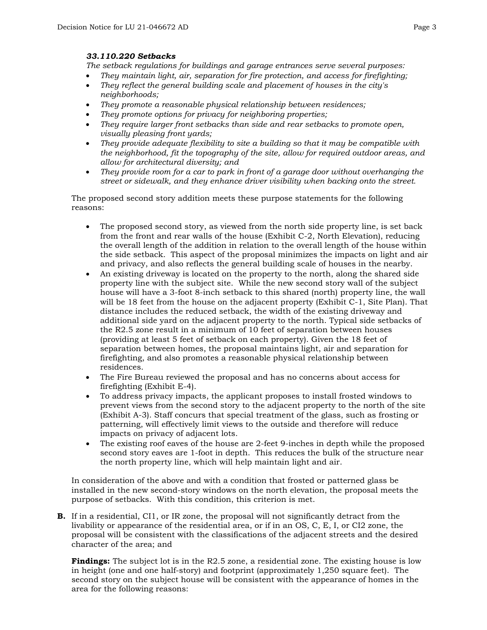#### *33.110.220 Setbacks*

*The setback regulations for buildings and garage entrances serve several purposes:*

- *They maintain light, air, separation for fire protection, and access for firefighting;*
- *They reflect the general building scale and placement of houses in the city's neighborhoods;*
- *They promote a reasonable physical relationship between residences;*
- *They promote options for privacy for neighboring properties;*
- *They require larger front setbacks than side and rear setbacks to promote open, visually pleasing front yards;*
- *They provide adequate flexibility to site a building so that it may be compatible with the neighborhood, fit the topography of the site, allow for required outdoor areas, and allow for architectural diversity; and*
- *They provide room for a car to park in front of a garage door without overhanging the street or sidewalk, and they enhance driver visibility when backing onto the street.*

The proposed second story addition meets these purpose statements for the following reasons:

- The proposed second story, as viewed from the north side property line, is set back from the front and rear walls of the house (Exhibit C-2, North Elevation), reducing the overall length of the addition in relation to the overall length of the house within the side setback. This aspect of the proposal minimizes the impacts on light and air and privacy, and also reflects the general building scale of houses in the nearby.
- An existing driveway is located on the property to the north, along the shared side property line with the subject site. While the new second story wall of the subject house will have a 3-foot 8-inch setback to this shared (north) property line, the wall will be 18 feet from the house on the adjacent property (Exhibit C-1, Site Plan). That distance includes the reduced setback, the width of the existing driveway and additional side yard on the adjacent property to the north. Typical side setbacks of the R2.5 zone result in a minimum of 10 feet of separation between houses (providing at least 5 feet of setback on each property). Given the 18 feet of separation between homes, the proposal maintains light, air and separation for firefighting, and also promotes a reasonable physical relationship between residences.
- The Fire Bureau reviewed the proposal and has no concerns about access for firefighting (Exhibit E-4).
- To address privacy impacts, the applicant proposes to install frosted windows to prevent views from the second story to the adjacent property to the north of the site (Exhibit A-3). Staff concurs that special treatment of the glass, such as frosting or patterning, will effectively limit views to the outside and therefore will reduce impacts on privacy of adjacent lots.
- The existing roof eaves of the house are 2-feet 9-inches in depth while the proposed second story eaves are 1-foot in depth. This reduces the bulk of the structure near the north property line, which will help maintain light and air.

In consideration of the above and with a condition that frosted or patterned glass be installed in the new second-story windows on the north elevation, the proposal meets the purpose of setbacks. With this condition, this criterion is met.

**B.** If in a residential, CI1, or IR zone, the proposal will not significantly detract from the livability or appearance of the residential area, or if in an OS, C, E, I, or CI2 zone, the proposal will be consistent with the classifications of the adjacent streets and the desired character of the area; and

**Findings:** The subject lot is in the R2.5 zone, a residential zone. The existing house is low in height (one and one half-story) and footprint (approximately 1,250 square feet). The second story on the subject house will be consistent with the appearance of homes in the area for the following reasons: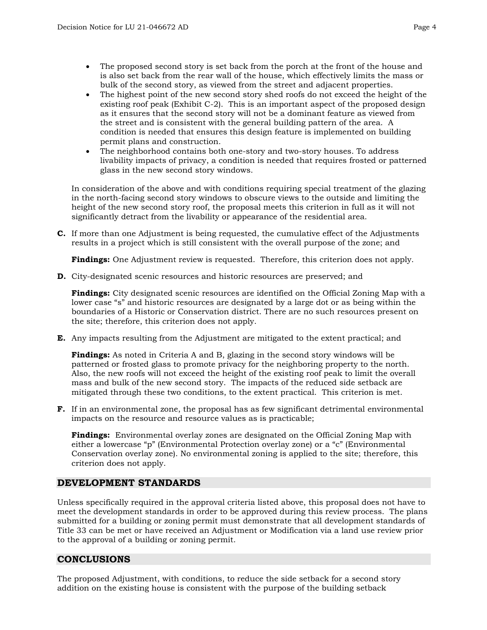- The proposed second story is set back from the porch at the front of the house and is also set back from the rear wall of the house, which effectively limits the mass or bulk of the second story, as viewed from the street and adjacent properties.
- The highest point of the new second story shed roofs do not exceed the height of the existing roof peak (Exhibit C-2). This is an important aspect of the proposed design as it ensures that the second story will not be a dominant feature as viewed from the street and is consistent with the general building pattern of the area. A condition is needed that ensures this design feature is implemented on building permit plans and construction.
- The neighborhood contains both one-story and two-story houses. To address livability impacts of privacy, a condition is needed that requires frosted or patterned glass in the new second story windows.

In consideration of the above and with conditions requiring special treatment of the glazing in the north-facing second story windows to obscure views to the outside and limiting the height of the new second story roof, the proposal meets this criterion in full as it will not significantly detract from the livability or appearance of the residential area.

**C.** If more than one Adjustment is being requested, the cumulative effect of the Adjustments results in a project which is still consistent with the overall purpose of the zone; and

**Findings:** One Adjustment review is requested. Therefore, this criterion does not apply.

**D.** City-designated scenic resources and historic resources are preserved; and

**Findings:** City designated scenic resources are identified on the Official Zoning Map with a lower case "s" and historic resources are designated by a large dot or as being within the boundaries of a Historic or Conservation district. There are no such resources present on the site; therefore, this criterion does not apply.

**E.** Any impacts resulting from the Adjustment are mitigated to the extent practical; and

**Findings:** As noted in Criteria A and B, glazing in the second story windows will be patterned or frosted glass to promote privacy for the neighboring property to the north. Also, the new roofs will not exceed the height of the existing roof peak to limit the overall mass and bulk of the new second story. The impacts of the reduced side setback are mitigated through these two conditions, to the extent practical. This criterion is met.

**F.** If in an environmental zone, the proposal has as few significant detrimental environmental impacts on the resource and resource values as is practicable;

**Findings:** Environmental overlay zones are designated on the Official Zoning Map with either a lowercase "p" (Environmental Protection overlay zone) or a "c" (Environmental Conservation overlay zone). No environmental zoning is applied to the site; therefore, this criterion does not apply.

## **DEVELOPMENT STANDARDS**

Unless specifically required in the approval criteria listed above, this proposal does not have to meet the development standards in order to be approved during this review process. The plans submitted for a building or zoning permit must demonstrate that all development standards of Title 33 can be met or have received an Adjustment or Modification via a land use review prior to the approval of a building or zoning permit.

## **CONCLUSIONS**

The proposed Adjustment, with conditions, to reduce the side setback for a second story addition on the existing house is consistent with the purpose of the building setback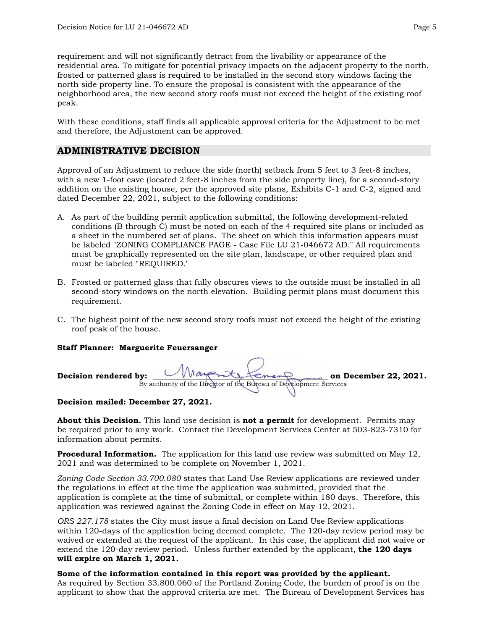requirement and will not significantly detract from the livability or appearance of the residential area. To mitigate for potential privacy impacts on the adjacent property to the north, frosted or patterned glass is required to be installed in the second story windows facing the north side property line. To ensure the proposal is consistent with the appearance of the neighborhood area, the new second story roofs must not exceed the height of the existing roof peak.

With these conditions, staff finds all applicable approval criteria for the Adjustment to be met and therefore, the Adjustment can be approved.

# **ADMINISTRATIVE DECISION**

Approval of an Adjustment to reduce the side (north) setback from 5 feet to 3 feet-8 inches, with a new 1-foot eave (located 2 feet-8 inches from the side property line), for a second-story addition on the existing house, per the approved site plans, Exhibits C-1 and C-2, signed and dated December 22, 2021, subject to the following conditions:

- A. As part of the building permit application submittal, the following development-related conditions (B through C) must be noted on each of the 4 required site plans or included as a sheet in the numbered set of plans. The sheet on which this information appears must be labeled "ZONING COMPLIANCE PAGE - Case File LU 21-046672 AD." All requirements must be graphically represented on the site plan, landscape, or other required plan and must be labeled "REQUIRED."
- B. Frosted or patterned glass that fully obscures views to the outside must be installed in all second-story windows on the north elevation. Building permit plans must document this requirement.
- C. The highest point of the new second story roofs must not exceed the height of the existing roof peak of the house.

### **Staff Planner: Marguerite Feuersanger**

| Decision rendered by: | Margaretz tenent                                                   | on December 22, 2021. |
|-----------------------|--------------------------------------------------------------------|-----------------------|
|                       | By authority of the Director of the Bureau of Development Services |                       |

### **Decision mailed: December 27, 2021.**

**About this Decision.** This land use decision is **not a permit** for development. Permits may be required prior to any work. Contact the Development Services Center at 503-823-7310 for information about permits.

**Procedural Information.** The application for this land use review was submitted on May 12, 2021 and was determined to be complete on November 1, 2021.

*Zoning Code Section 33.700.080* states that Land Use Review applications are reviewed under the regulations in effect at the time the application was submitted, provided that the application is complete at the time of submittal, or complete within 180 days. Therefore, this application was reviewed against the Zoning Code in effect on May 12, 2021.

*ORS 227.178* states the City must issue a final decision on Land Use Review applications within 120-days of the application being deemed complete. The 120-day review period may be waived or extended at the request of the applicant. In this case, the applicant did not waive or extend the 120-day review period. Unless further extended by the applicant, **the 120 days will expire on March 1, 2021.**

### **Some of the information contained in this report was provided by the applicant.**

As required by Section 33.800.060 of the Portland Zoning Code, the burden of proof is on the applicant to show that the approval criteria are met. The Bureau of Development Services has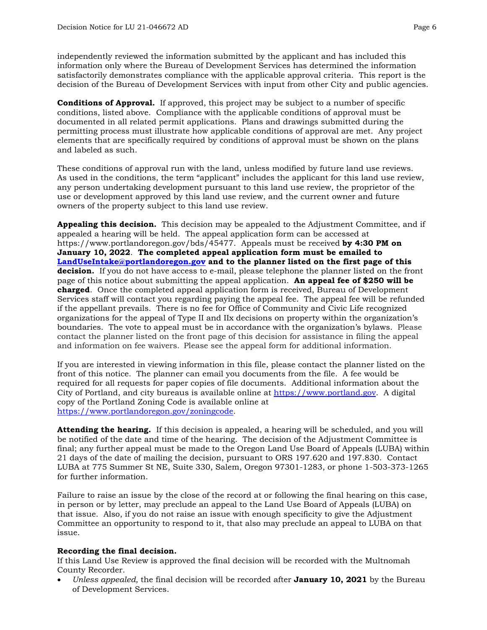independently reviewed the information submitted by the applicant and has included this information only where the Bureau of Development Services has determined the information satisfactorily demonstrates compliance with the applicable approval criteria. This report is the decision of the Bureau of Development Services with input from other City and public agencies.

**Conditions of Approval.** If approved, this project may be subject to a number of specific conditions, listed above. Compliance with the applicable conditions of approval must be documented in all related permit applications. Plans and drawings submitted during the permitting process must illustrate how applicable conditions of approval are met. Any project elements that are specifically required by conditions of approval must be shown on the plans and labeled as such.

These conditions of approval run with the land, unless modified by future land use reviews. As used in the conditions, the term "applicant" includes the applicant for this land use review, any person undertaking development pursuant to this land use review, the proprietor of the use or development approved by this land use review, and the current owner and future owners of the property subject to this land use review.

**Appealing this decision.** This decision may be appealed to the Adjustment Committee, and if appealed a hearing will be held. The appeal application form can be accessed at https://www.portlandoregon.gov/bds/45477. Appeals must be received **by 4:30 PM on January 10, 2022**. **The completed appeal application form must be emailed to [LandUseIntake@portlandoregon.gov](mailto:LandUseIntake@portlandoregon.gov) and to the planner listed on the first page of this decision.** If you do not have access to e-mail, please telephone the planner listed on the front page of this notice about submitting the appeal application. **An appeal fee of \$250 will be charged**. Once the completed appeal application form is received, Bureau of Development Services staff will contact you regarding paying the appeal fee. The appeal fee will be refunded if the appellant prevails. There is no fee for Office of Community and Civic Life recognized organizations for the appeal of Type II and IIx decisions on property within the organization's boundaries. The vote to appeal must be in accordance with the organization's bylaws. Please contact the planner listed on the front page of this decision for assistance in filing the appeal and information on fee waivers. Please see the appeal form for additional information.

If you are interested in viewing information in this file, please contact the planner listed on the front of this notice. The planner can email you documents from the file. A fee would be required for all requests for paper copies of file documents. Additional information about the City of Portland, and city bureaus is available online at [https://www.portland.gov.](https://www.portland.gov/) A digital copy of the Portland Zoning Code is available online at [https://www.portlandoregon.gov/zoningcode.](https://www.portlandoregon.gov/zoningcode)

**Attending the hearing.** If this decision is appealed, a hearing will be scheduled, and you will be notified of the date and time of the hearing. The decision of the Adjustment Committee is final; any further appeal must be made to the Oregon Land Use Board of Appeals (LUBA) within 21 days of the date of mailing the decision, pursuant to ORS 197.620 and 197.830. Contact LUBA at 775 Summer St NE, Suite 330, Salem, Oregon 97301-1283, or phone 1-503-373-1265 for further information.

Failure to raise an issue by the close of the record at or following the final hearing on this case, in person or by letter, may preclude an appeal to the Land Use Board of Appeals (LUBA) on that issue. Also, if you do not raise an issue with enough specificity to give the Adjustment Committee an opportunity to respond to it, that also may preclude an appeal to LUBA on that issue.

### **Recording the final decision.**

If this Land Use Review is approved the final decision will be recorded with the Multnomah County Recorder.

• *Unless appealed,* the final decision will be recorded after **January 10, 2021** by the Bureau of Development Services.